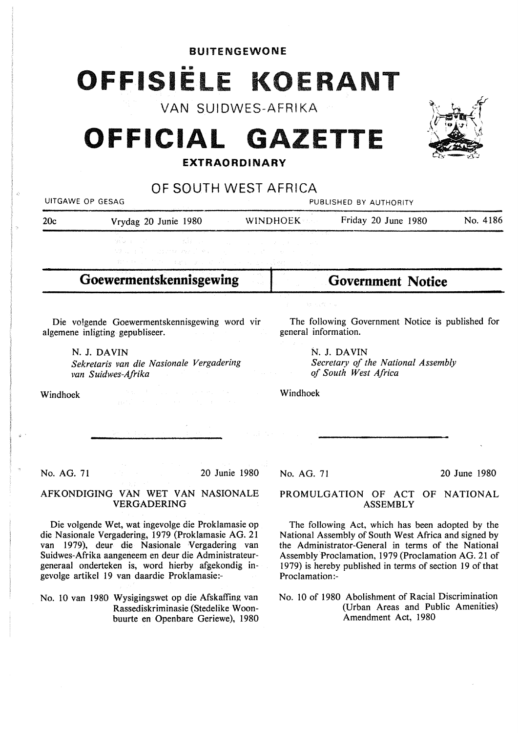# BUITENGEWONE OFFISIËLE KOERANT VAN SUIDWES-AFRIKA<br>VAN SUIDWES-AFRIKA

# **OFFICIAL GAZETTE**

# **EXT RAO ROI NARY**

OF SOUTH WEST AFRICA UITGAWE OP GESAG PUBLISHED BY AUTHORITY 20c Vrydag 20 Junie 1980 WINDHOEK Friday 20 June 1980 No. 4186 **Goewermentskennisgewing**  Die volgende Goewermentskennisgewing word vir algemene inligting gepubliseer. N. J. DAVIN *Sekretaris van die Nasionale Vergadering van Suidwes-Afrika*  Windhoek No. AG. 71 20 Junie 1980 AFKONDIGING VAN WET VAN NASIONALE VERGADERING Die volgende Wet, wat ingevolge die Proklamasie op die Nasionale Vergadering, 1979 (Proklamasie AG. 21 **Government Notice**  The following Government Notice is published for general information. N. J. DAVIN *Secretary of the National Assembly of South West Africa*  Windhoek No. AG. 71 20 June 1980 PROMULGATION OF ACT OF NATIONAL ASSEMBLY The following Act, which has been adopted by the National Assembly of South West Africa and signed by

van 1979), deur die Nasionale Vergadering van Suidwes-Afrika aangeneem en deur die Administrateurgeneraal onderteken is, word hierby afgekondig ingevolge artikel 19 van daardie Proklamasie:-

No. IO van 1980 Wysigingswet op die Afskaffing van Rassediskriminasie (Stedelike Woonbuurte en Openbare Geriewe), 1980 the Administrator-General in terms of the National Assembly Proclamation, 1979 (Proclamation AG. 21 of 1979) is hereby published in terms of section 19 of that Proclamation:-

No. 10 of 1980 Abolishment of Racial Discrimination (Urban Areas and Public Amenities) Amendment Act, 1980

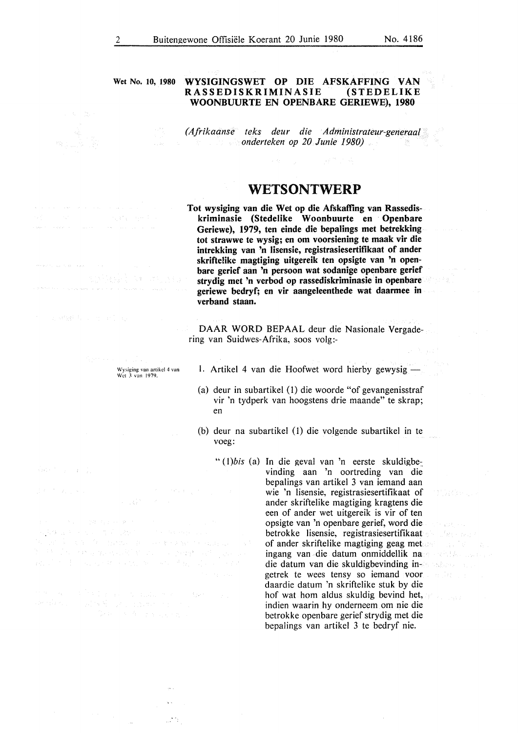#### **Wet No. 10, 1980 WYSIGINGSWET OP DIE AFSKAFFING VAN**   $RASSEDISKRIMINASIE$ **WOONBUURTE EN OPENBARE GERIEWE), 1980**

*(Afrikaanse teks deur die Administrateur-generaal onderteken op 20 Junie 1980)* 

## **WETSONTWERP**

**Tot wysiging van die Wet op die Afskaffing van Rassediskriminasie (Stedelike Woonbuurte en Openbare Geriewe), 1979, ten einde die bepalings met betrekking tot strawwe te wysig; en om voorsiening te maak vir die intrekking van 'n Iisensie, registrasiesertifikaat of ander skriftelike magtiging uitgereik ten opsigte van 'n openbare gerief aan 'n persoon wat sodanige openbare gerief strydig met 'n verbod op rassediskriminasie in openbare geriewe bedryf; en vir aangeleenthede wat daarmee in verband staan.** 

DAAR WORD BEPAAL deur die Nasionale Vergadering van Suidwes-Afrika, soos volg:-

1. Artikel 4 van die Hoofwet word hierby gewysig -

- (a) deur in subartikel (I) die woorde "of gevangenisstraf vir 'n tydperk van hoogstens drie maande" te skrap; en
- (b) deur na subartikel (1) die volgende subartikel in te voeg:

" (1)*bis* (a) In die geval van 'n eerste skuldigbevinding aan 'n oortreding van die bepalings van artikel 3 van iemand aan wie 'n lisensie, registrasiesertifikaat of ander skriftelike magtiging kragtens die een of ander wet uitgereik is vir of ten opsigte van 'n openbare gerief, word die betrokke lisensie, registrasiesertifikaat of ander skriftelike magtiging geag met ingang van die datum onmiddellik na die datum van die skuldigbevinding ingetrek te wees tensy so iemand voor daardie datum 'n skriftelike stuk by die hof wat hom aldus skuldig bevind het, indien waarin hy onderneem om nie die betrokke open bare gerief strydig met die bepalings van artikel 3 te bedryf nie.

TURGEL.

The graph college

 $\{u\} \in \mathbb{R}^n$  ,  $\{u\} \in \mathbb{R}^n$ 

are provided and some products.

and the state of the state of the 140 年轻的第三人称形式 The Property of Persons and

Wysiging van artikel 4 van Wet *3* van 1979.

An Ingers

t de la consideración de mulles de la constancia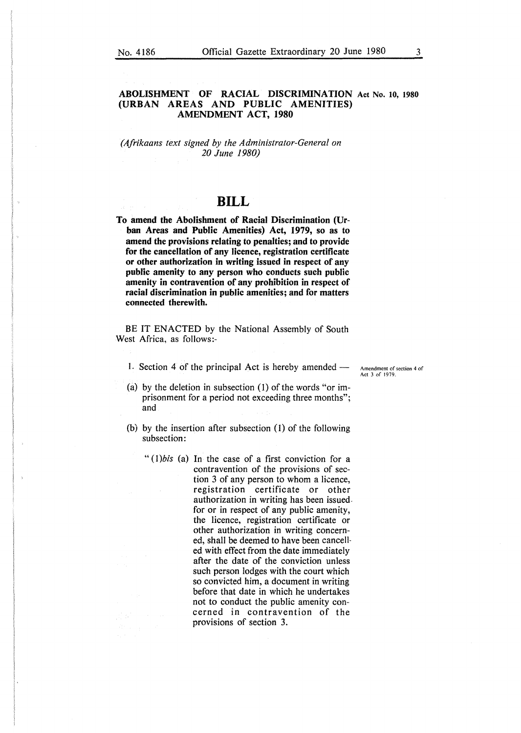#### **ABOLISHMENT OF RACIAL DISCRIMINATION** Act No. 10, **1980 (URBAN AREAS AND PUBLIC AMENITIES) AMENDMENT ACT, 1980**

*(Afrikaans text signed by the Administrator-General on 20 June 1980)* 

## **BILL**

**To amend the Abolishment of Racial Discrimination (Urban Areas and Public Amenities) Act, 1979, so as to amend the provisions relating to penalties; and to provide for the cancellation of any licence, registration certificate or other authorization in writing issued in respect of any public amenity to any person who conducts such public amenity in contravention of any prohibition in respect of racial discrimination in public amenities; and for matters connected therewith.** 

BE IT ENACTED by the National Assembly of South West Africa, as follows:-

1. Section 4 of the principal Act is hereby amended  $-$  Amendment of section 4 of

Act 3 of 1979.

- (a) by the deletion in subsection (1) of the words "or imprisonment for a period not exceeding three months"; and
- (b) by the insertion after subsection (I) of the following subsection:
	- *"(l)bis* (a) In the case of a first conviction for a contravention of the provisions of section 3 of any person to whom a licence, registration certificate or other authorization in writing has been issuedfor or in respect of any public amenity, the licence, registration certificate or other authorization in writing concerned, shall be deemed to have been cancelled with effect from the date immediately after the date of the conviction unless such person lodges with the court which so convicted him, a document in writing before that date in which he undertakes not to conduct the public amenity concerned in contravention of the provisions of section 3.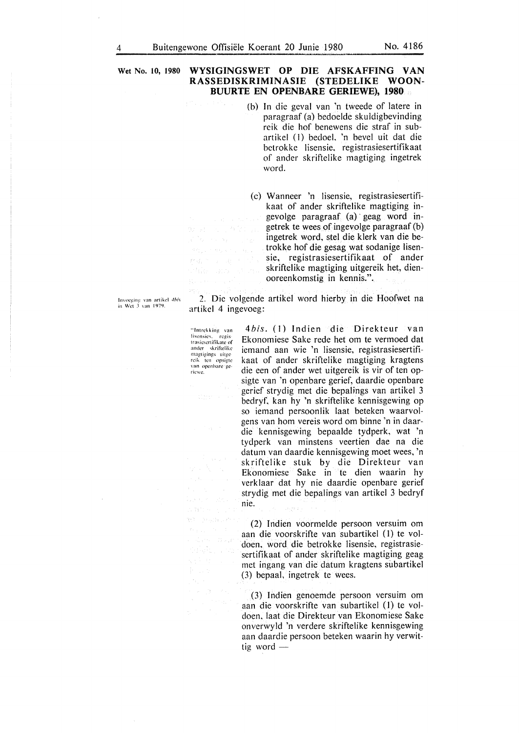**Wet No. 10, 1980 WYSIGINGSWET OP DIE AFSKAFFING VAN RASSEDISKRIMINASIE (STEDELIKE WOON-BUURTE EN OPENBARE GERIEWE), 1980** 

- (b) In die geval van 'n tweede of latere in paragraaf (a) bedoelde skuidigbevinding reik die hof benewens die straf in subartikcl (I) bedoel. 'n bevel uit dat die bctrokkc lisensie, registrasiesertifikaat of ander skriftelike magtiging ingetrek word.
- (c) Wanneer 'n Iisensie, registrasiesertifikaat of ander skriftelike magtiging ingevolge paragraaf (a) · geag word ingetrek te wees of ingevolge paragraaf (b) ingetrek word, stel die klerk van die betrokke hof die gesag wat sodanige lisensie, registrasiesertifikaat of ander skriftelike magtiging uitgereik het, dienooreenkomstig in kennis.".

Invoeging van artikel *4his*<br>in Wet 3 van 1979.

2. Die volgende artikel word hierby in die Hoofwet na artikel 4 ingevoeg:

"Intrekking van lisensics, – regis<br>trasiesertifikate of ander skriftelike magtigings uitge<br>reik ten opsigte van opcnbare gcricwc,

 $\langle \phi_{\rm{in}} \rangle$ 

name s  $T_{12}^{(1)} = (2\pi\sqrt{3})\pm 10^{-6}$  $\mathfrak{e}_{\mathfrak{p},\mathfrak{p},\mathfrak{p},\mathfrak{p}}$  ,  $\mathfrak{e}_{\mathfrak{p}}$ 

See 20

经确定 法国家

4bis. (1) Indien die Direkteur van Ekonomiese Sake rede het om te vermoed dat icmand aan wie 'n Iisensie, registrasiesertifikaat of ander skriftelike magtiging kragtens die een of ander wet uitgereik is vir of ten opsigte van 'n openbare gerief, daardie openbare gerief strydig met die bepalings van artikel 3 bedryf, kan hy 'n skriftelike kennisgewing op so iemand persoonlik laat beteken waarvolgens van horn vereis word om binne 'n in daardie kennisgewing bepaalde tydperk, wat 'n tydperk van minstens veertien dae na die datum van daardie kennisgewing moet wees, 'n skriftelike stuk by die Direkteur van Ekonomiese Sake in te dien waarin hy verklaar dat hy nie daardie openbare gerief strydig met die bepalings van artikel 3 bedryf nie.

(2) Indien voormelde persoon versuim om aan die voorskrifte van subartikel (I) te voldoen, word die betrokke lisensie, registrasiesertifikaat of ander skriftelike magtiging geag met ingang van die datum kragtens subartikel (3) bepaal, ingetrek te wees.

(3) Indien genoemde persoon versuim om aan die voorskrifte van subartikel *(* l) te voldoen, laat die Direkteur van Ekonomiese Sake onverwyld 'n verdere skriftelike kennisgewing aan daardie persoon beteken waarin hy verwittig word  $-$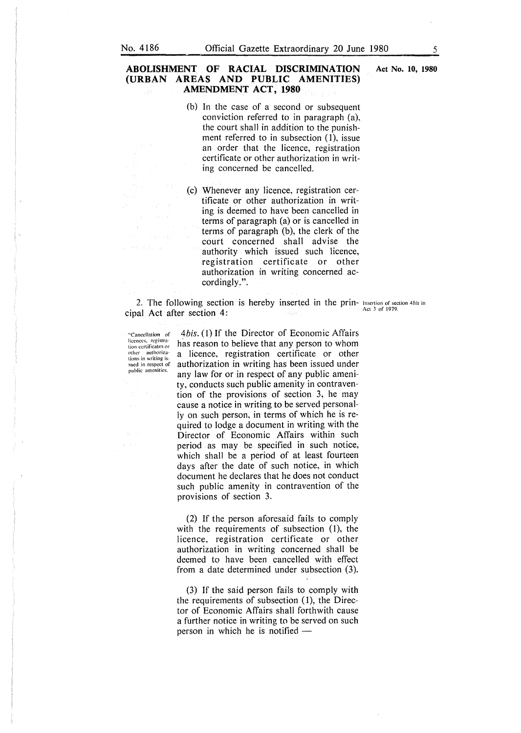#### **ABOLISHMENT OF RACIAL DISCRIMINATION (URBAN AREAS AND PUBLIC AMENITIES) AMENDMENT ACT, 1980**

- (b) In the case of a second or subsequent conviction referred to in paragraph (a), the court shall in addition to the punishment referred to in subsection (1), issue an order that the licence, registration certificate or other authorization in writing concerned be cancelled.
- (c) Whenever any licence, registration certificate or other authorization in writing is deemed to have been cancelled in terms of paragraph (a) or is cancelled in terms of paragraph  $(b)$ , the clerk of the court concerned shall advise the authority which issued such licence, registration certificate or other authorization in writing concerned accordingly.".

2. The following section is hereby inserted in the prin- Insertion of section *4 bis* in  $\frac{\text{Act}}{\text{Act}}$  3 of 1979. cipal Act after section 4:

**.. Cancellation of licences. registration certificates or other authoriza-tions in writing** is sued in respect of **public amenities.** 

*4bis.* (I) If the Director of Economic Affairs has reason to believe that any person to whom a licence, registration certificate or other authorization in writing has been issued under any law for or in respect of any public amenity, conducts such public amenity in contravention of the provisions of section 3, he may cause a notice in writing to be served personally on such person, in terms of which he is required to lodge a document in writing with the Director of Economic Affairs within such period as may be specified in such notice, which shall be a period of at least fourteen days after the date of such notice, in which document he declares that he does not conduct such public amenity in contravention of the provisions of section 3.

(2) If the person aforesaid fails to comply with the requirements of subsection (1), the licence, registration certificate or other authorization in writing concerned shall be deemed to have been cancelled with effect from a date determined under subsection (3).

(3) If the said person fails to comply with the requirements of subsection (1), the Director of Economic Affairs shall forthwith cause a further notice in writing to be served on such person in which he is notified  $-$ 

**Act No. 10, 1980**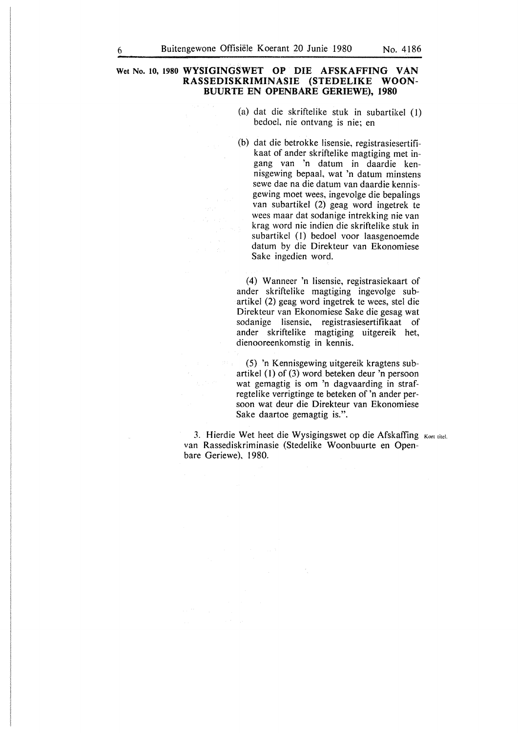#### **Wet No. to, 1980 WYSIGINGSWET OP DIE AFSKAFFING VAN RASSEDISKRIMINASIE (STEDELIKE WOON-BUURTE EN OPENBARE GERIEWE), 1980**

- (a) dat die skriftelike stuk in subartikel (1) bedoel, nie ontvang is nie; en
- (b) dat die betrokke lisensie, registrasiesertifikaat of ander skriftelike magtiging met ingang van 'n datum in daardie kennisgewing bepaal, wat 'n datum minstens sewe dae na die datum van daardie kennisgewing moet wees, ingevolge die bepalings van subartikel (2) geag word ingetrek te wees maar dat sodanige intrekking nie van krag word nie indien die skriftelike stuk in subartikel (l) bedoel voor laasgenoemde datum by die Direkteur van Ekonomiese Sake ingedien word.

( 4) W anneer 'n lisensie, registrasiekaart of ander skriftelike magtiging ingevolge subartikel (2) geag word ingetrek te wees, stel die Direkteur van Ekonomiese Sake die gesag wat sodanige lisensie, registrasiesertifikaat of ander skriftelike magtiging uitgereik het, dienooreenkomstig in kennis.

(5) 'n Kennisgewing uitgereik kragtens subartikel (I) of (3) word beteken deur 'n persoon wat gemagtig is om 'n dagvaarding in strafregtelike verrigtinge te beteken of 'n ander persoon wat deur die Direkteur van Ekonomiese Sake daartoe gemagtig is.".

3. Hierdie Wet heet die Wysigingswet op die Afskaffing Kort titel. van Rassediskriminasie (Stedelike Woonbuurte en Openbare Geriewe), 1980.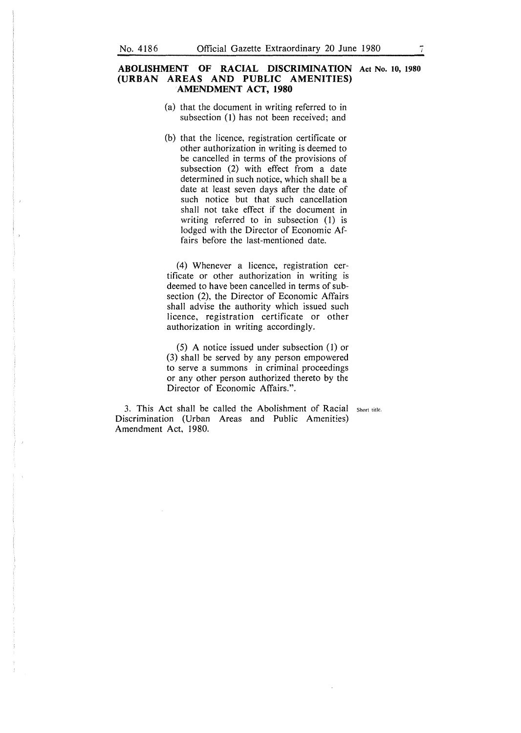#### **ABOLISHMENT OF RACIAL DISCRIMINATION Act No. 10, 1980 (URBAN AREAS AND PUBLIC AMENITIES) AMENDMENT ACT, 1980**

- (a) that the document in writing referred to in subsection (1) has not been received; and
- (b) that the licence, registration certificate or other authorization in writing is deemed to be cancelled in terms of the provisions of subsection (2) with effect from a date determined in such notice, which shall be a date at least seven days after the date of such notice but that such cancellation shall not take effect if the document in writing referred to in subsection (1) is lodged with the Director of Economic Affairs before the last-mentioned date.

(4) Whenever a licence, registration certificate or other authorization in writing is deemed to have been cancelled in terms of subsection (2), the Director of Economic Affairs shall advise the authority which issued such licence, registration certificate or other authorization in writing accordingly.

(5) A notice issued under subsection (1) or (3) shall be served by any person empowered to serve a summons in criminal proceedings or any other person authorized thereto by the Director of Economic Affairs.".

3. This Act shall be called the Abolishment of Racial Short title. Discrimination (Urban Areas and Public Amenities) Amendment Act, 1980.